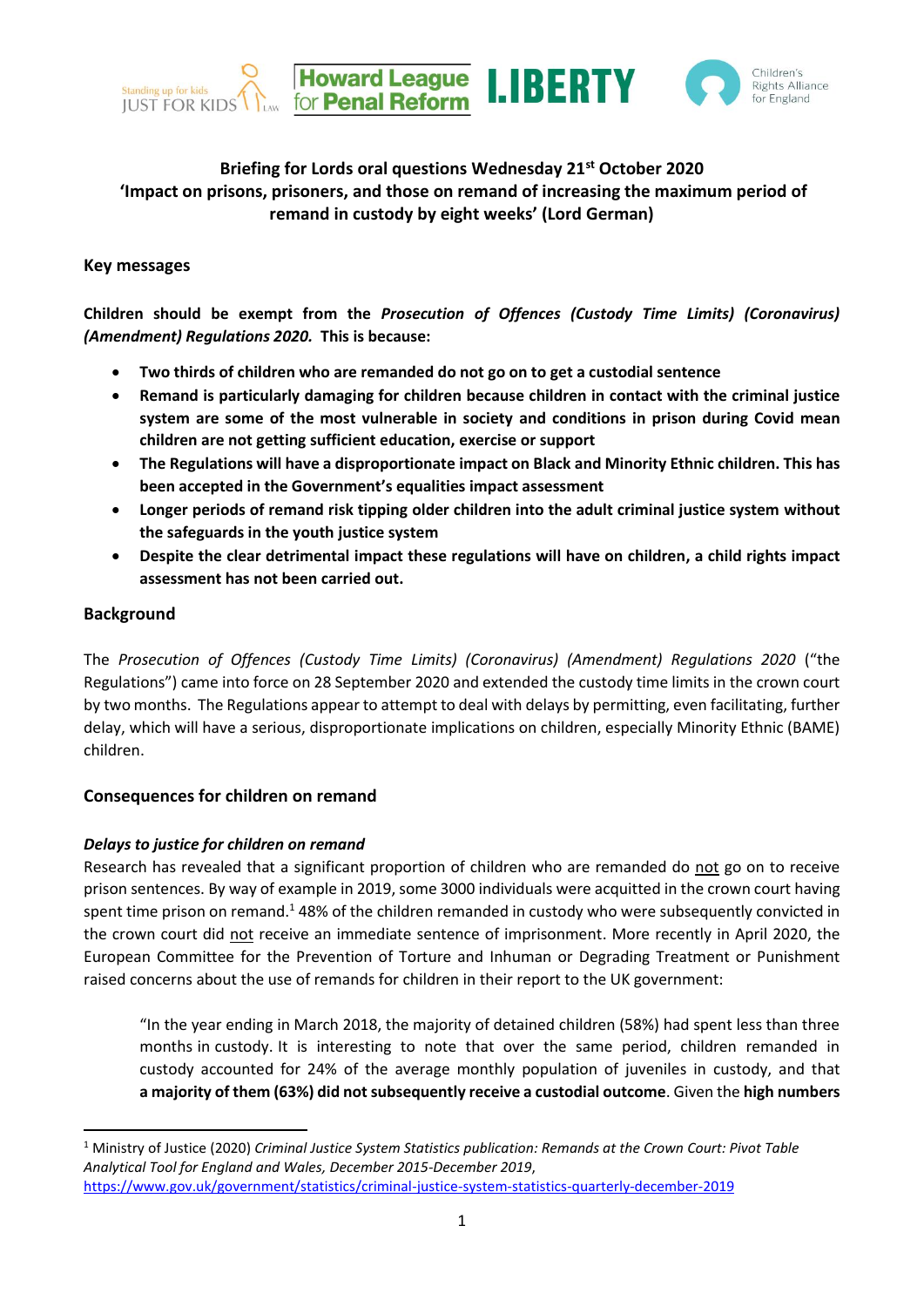



# **Briefing for Lords oral questions Wednesday 21st October 2020 'Impact on prisons, prisoners, and those on remand of increasing the maximum period of remand in custody by eight weeks' (Lord German)**

#### **Key messages**

**Children should be exempt from the** *Prosecution of Offences (Custody Time Limits) (Coronavirus) (Amendment) Regulations 2020.* **This is because:** 

- **Two thirds of children who are remanded do not go on to get a custodial sentence**
- **Remand is particularly damaging for children because children in contact with the criminal justice system are some of the most vulnerable in society and conditions in prison during Covid mean children are not getting sufficient education, exercise or support**
- **The Regulations will have a disproportionate impact on Black and Minority Ethnic children. This has been accepted in the Government's equalities impact assessment**
- **Longer periods of remand risk tipping older children into the adult criminal justice system without the safeguards in the youth justice system**
- **Despite the clear detrimental impact these regulations will have on children, a child rights impact assessment has not been carried out.**

## **Background**

The *Prosecution of Offences (Custody Time Limits) (Coronavirus) (Amendment) Regulations 2020* ("the Regulations") came into force on 28 September 2020 and extended the custody time limits in the crown court by two months. The Regulations appear to attempt to deal with delays by permitting, even facilitating, further delay, which will have a serious, disproportionate implications on children, especially Minority Ethnic (BAME) children.

## **Consequences for children on remand**

## *Delays to justice for children on remand*

Research has revealed that a significant proportion of children who are remanded do not go on to receive prison sentences. By way of example in 2019, some 3000 individuals were acquitted in the crown court having spent time prison on remand.<sup>1</sup> 48% of the children remanded in custody who were subsequently convicted in the crown court did not receive an immediate sentence of imprisonment. More recently in April 2020, the European Committee for the Prevention of Torture and Inhuman or Degrading Treatment or Punishment raised concerns about the use of remands for children in their report to the UK government:

"In the year ending in March 2018, the majority of detained children (58%) had spent less than three months in custody. It is interesting to note that over the same period, children remanded in custody accounted for 24% of the average monthly population of juveniles in custody, and that **a majority of them (63%) did not subsequently receive a custodial outcome**. Given the **high numbers** 

<sup>1</sup> Ministry of Justice (2020) *Criminal Justice System Statistics publication: Remands at the Crown Court: Pivot Table Analytical Tool for England and Wales, December 2015-December 2019*, <https://www.gov.uk/government/statistics/criminal-justice-system-statistics-quarterly-december-2019>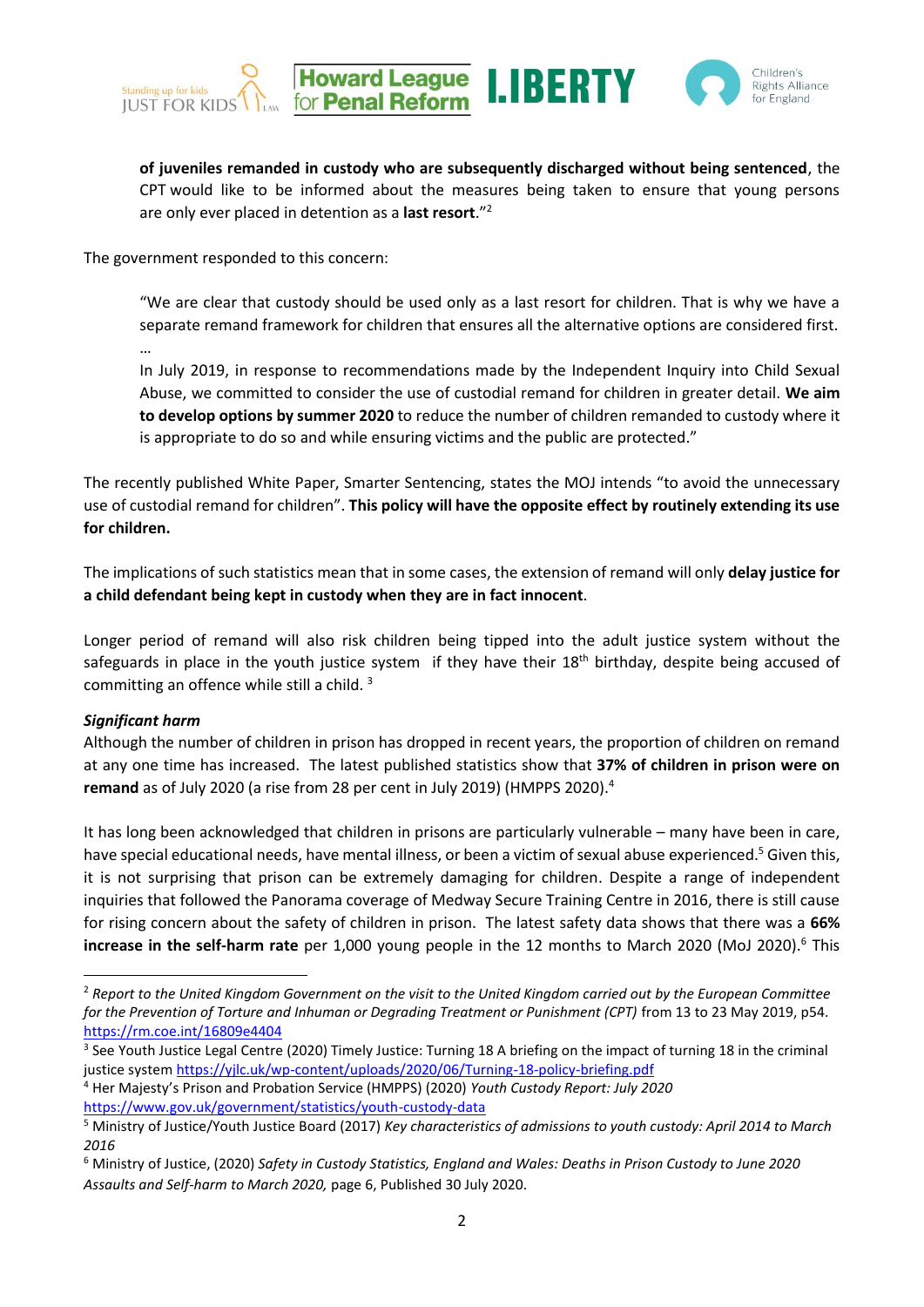





**of juveniles remanded in custody who are subsequently discharged without being sentenced**, the CPT would like to be informed about the measures being taken to ensure that young persons are only ever placed in detention as a **last resort**."<sup>2</sup>

The government responded to this concern:

"We are clear that custody should be used only as a last resort for children. That is why we have a separate remand framework for children that ensures all the alternative options are considered first.

In July 2019, in response to recommendations made by the Independent Inquiry into Child Sexual Abuse, we committed to consider the use of custodial remand for children in greater detail. **We aim to develop options by summer 2020** to reduce the number of children remanded to custody where it is appropriate to do so and while ensuring victims and the public are protected."

The recently published White Paper, Smarter Sentencing, states the MOJ intends "to avoid the unnecessary use of custodial remand for children". **This policy will have the opposite effect by routinely extending its use for children.**

The implications of such statistics mean that in some cases, the extension of remand will only **delay justice for a child defendant being kept in custody when they are in fact innocent**.

Longer period of remand will also risk children being tipped into the adult justice system without the safeguards in place in the youth justice system if they have their 18<sup>th</sup> birthday, despite being accused of committing an offence while still a child.<sup>3</sup>

## *Significant harm*

…

Although the number of children in prison has dropped in recent years, the proportion of children on remand at any one time has increased. The latest published statistics show that **37% of children in prison were on remand** as of July 2020 (a rise from 28 per cent in July 2019) (HMPPS 2020).<sup>4</sup>

It has long been acknowledged that children in prisons are particularly vulnerable – many have been in care, have special educational needs, have mental illness, or been a victim of sexual abuse experienced.<sup>5</sup> Given this, it is not surprising that prison can be extremely damaging for children. Despite a range of independent inquiries that followed the Panorama coverage of Medway Secure Training Centre in 2016, there is still cause for rising concern about the safety of children in prison. The latest safety data shows that there was a **66% increase in the self-harm rate** per 1,000 young people in the 12 months to March 2020 (MoJ 2020).<sup>6</sup> This

<sup>4</sup> Her Majesty's Prison and Probation Service (HMPPS) (2020) *Youth Custody Report: July 2020* <https://www.gov.uk/government/statistics/youth-custody-data>

<sup>2</sup> *Report to the United Kingdom Government on the visit to the United Kingdom carried out by the European Committee for the Prevention of Torture and Inhuman or Degrading Treatment or Punishment (CPT)* from 13 to 23 May 2019, p54. <https://rm.coe.int/16809e4404>

<sup>&</sup>lt;sup>3</sup> See Youth Justice Legal Centre (2020) Timely Justice: Turning 18 A briefing on the impact of turning 18 in the criminal justice syste[m https://yjlc.uk/wp-content/uploads/2020/06/Turning-18-policy-briefing.pdf](https://yjlc.uk/wp-content/uploads/2020/06/Turning-18-policy-briefing.pdf)

<sup>5</sup> Ministry of Justice/Youth Justice Board (2017) *Key characteristics of admissions to youth custody: April 2014 to March 2016*

<sup>6</sup> Ministry of Justice, (2020) *Safety in Custody Statistics, England and Wales: Deaths in Prison Custody to June 2020 Assaults and Self-harm to March 2020,* page 6, Published 30 July 2020.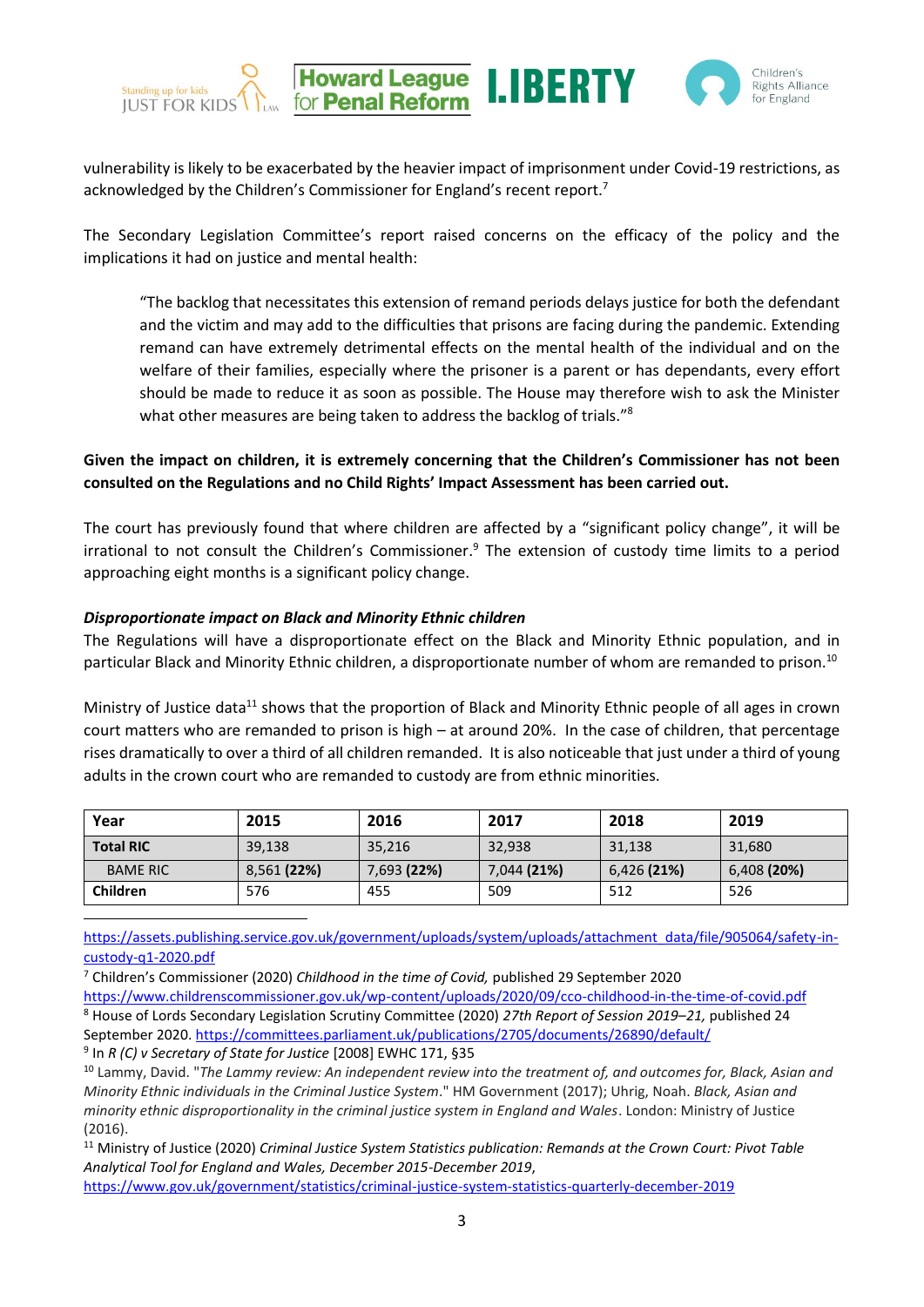



vulnerability is likely to be exacerbated by the heavier impact of imprisonment under Covid-19 restrictions, as acknowledged by the Children's Commissioner for England's recent report.<sup>7</sup>

**Howard League**<br>for **Penal Reform** 

Standing up for kids

**IUST FOR KIDS** 

The Secondary Legislation Committee's report raised concerns on the efficacy of the policy and the implications it had on justice and mental health:

"The backlog that necessitates this extension of remand periods delays justice for both the defendant and the victim and may add to the difficulties that prisons are facing during the pandemic. Extending remand can have extremely detrimental effects on the mental health of the individual and on the welfare of their families, especially where the prisoner is a parent or has dependants, every effort should be made to reduce it as soon as possible. The House may therefore wish to ask the Minister what other measures are being taken to address the backlog of trials."<sup>8</sup>

**Given the impact on children, it is extremely concerning that the Children's Commissioner has not been consulted on the Regulations and no Child Rights' Impact Assessment has been carried out.** 

The court has previously found that where children are affected by a "significant policy change", it will be irrational to not consult the Children's Commissioner.<sup>9</sup> The extension of custody time limits to a period approaching eight months is a significant policy change.

#### *Disproportionate impact on Black and Minority Ethnic children*

The Regulations will have a disproportionate effect on the Black and Minority Ethnic population, and in particular Black and Minority Ethnic children, a disproportionate number of whom are remanded to prison.<sup>10</sup>

Ministry of Justice data<sup>11</sup> shows that the proportion of Black and Minority Ethnic people of all ages in crown court matters who are remanded to prison is high – at around 20%. In the case of children, that percentage rises dramatically to over a third of all children remanded. It is also noticeable that just under a third of young adults in the crown court who are remanded to custody are from ethnic minorities.

| Year             | 2015        | 2016        | 2017        | 2018        | 2019        |
|------------------|-------------|-------------|-------------|-------------|-------------|
| <b>Total RIC</b> | 39,138      | 35,216      | 32,938      | 31,138      | 31,680      |
| <b>BAME RIC</b>  | 8,561 (22%) | 7,693 (22%) | 7,044 (21%) | 6,426 (21%) | 6,408 (20%) |
| Children         | 576         | 455         | 509         | 512         | 526         |

[https://assets.publishing.service.gov.uk/government/uploads/system/uploads/attachment\\_data/file/905064/safety-in](https://assets.publishing.service.gov.uk/government/uploads/system/uploads/attachment_data/file/905064/safety-in-custody-q1-2020.pdf)[custody-q1-2020.pdf](https://assets.publishing.service.gov.uk/government/uploads/system/uploads/attachment_data/file/905064/safety-in-custody-q1-2020.pdf)

<sup>7</sup> Children's Commissioner (2020) *Childhood in the time of Covid,* published 29 September 2020

9 In *R (C) v Secretary of State for Justice* [2008] EWHC 171, §35

<sup>11</sup> Ministry of Justice (2020) *Criminal Justice System Statistics publication: Remands at the Crown Court: Pivot Table Analytical Tool for England and Wales, December 2015-December 2019*,

<https://www.gov.uk/government/statistics/criminal-justice-system-statistics-quarterly-december-2019>

<https://www.childrenscommissioner.gov.uk/wp-content/uploads/2020/09/cco-childhood-in-the-time-of-covid.pdf> <sup>8</sup> House of Lords Secondary Legislation Scrutiny Committee (2020) *27th Report of Session 2019–21,* published 24 September 2020.<https://committees.parliament.uk/publications/2705/documents/26890/default/>

<sup>10</sup> Lammy, David. "*The Lammy review: An independent review into the treatment of, and outcomes for, Black, Asian and Minority Ethnic individuals in the Criminal Justice System*." HM Government (2017); Uhrig, Noah. *Black, Asian and minority ethnic disproportionality in the criminal justice system in England and Wales*. London: Ministry of Justice (2016).